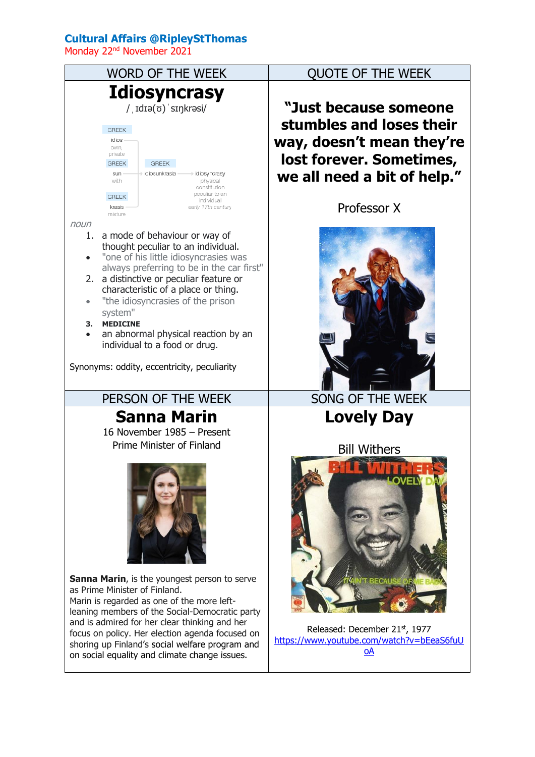## **Cultural Affairs @RipleyStThomas**

Monday 22nd November 2021